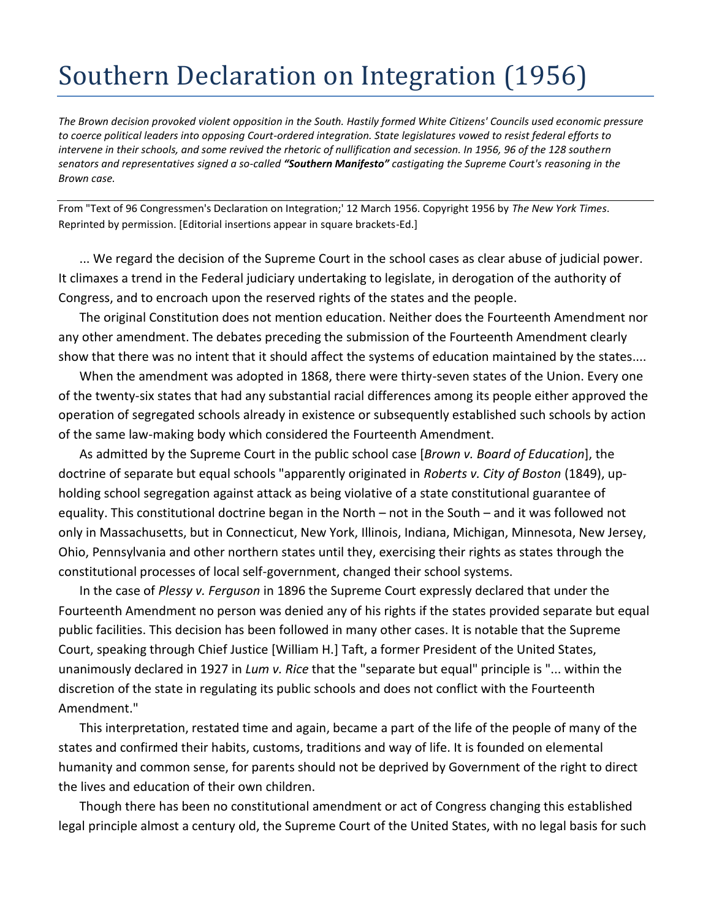## Southern Declaration on Integration (1956)

*The Brown decision provoked violent opposition in the South. Hastily formed White Citizens' Councils used economic pressure to coerce political leaders into opposing Court-ordered integration. State legislatures vowed to resist federal efforts to intervene in their schools, and some revived the rhetoric of nullification and secession. In 1956, 96 of the 128 southern senators and representatives signed a so-called "Southern Manifesto" castigating the Supreme Court's reasoning in the Brown case.* 

From "Text of 96 Congressmen's Declaration on Integration;' 12 March 1956. Copyright 1956 by *The New York Times*. Reprinted by permission. [Editorial insertions appear in square brackets-Ed.]

... We regard the decision of the Supreme Court in the school cases as clear abuse of judicial power. It climaxes a trend in the Federal judiciary undertaking to legislate, in derogation of the authority of Congress, and to encroach upon the reserved rights of the states and the people.

The original Constitution does not mention education. Neither does the Fourteenth Amendment nor any other amendment. The debates preceding the submission of the Fourteenth Amendment clearly show that there was no intent that it should affect the systems of education maintained by the states....

When the amendment was adopted in 1868, there were thirty-seven states of the Union. Every one of the twenty-six states that had any substantial racial differences among its people either approved the operation of segregated schools already in existence or subsequently established such schools by action of the same law-making body which considered the Fourteenth Amendment.

As admitted by the Supreme Court in the public school case [*Brown v. Board of Education*], the doctrine of separate but equal schools "apparently originated in *Roberts v. City of Boston* (1849), upholding school segregation against attack as being violative of a state constitutional guarantee of equality. This constitutional doctrine began in the North – not in the South – and it was followed not only in Massachusetts, but in Connecticut, New York, Illinois, Indiana, Michigan, Minnesota, New Jersey, Ohio, Pennsylvania and other northern states until they, exercising their rights as states through the constitutional processes of local self-government, changed their school systems.

In the case of *Plessy v. Ferguson* in 1896 the Supreme Court expressly declared that under the Fourteenth Amendment no person was denied any of his rights if the states provided separate but equal public facilities. This decision has been followed in many other cases. It is notable that the Supreme Court, speaking through Chief Justice [William H.] Taft, a former President of the United States, unanimously declared in 1927 in *Lum v. Rice* that the "separate but equal" principle is "... within the discretion of the state in regulating its public schools and does not conflict with the Fourteenth Amendment."

This interpretation, restated time and again, became a part of the life of the people of many of the states and confirmed their habits, customs, traditions and way of life. It is founded on elemental humanity and common sense, for parents should not be deprived by Government of the right to direct the lives and education of their own children.

Though there has been no constitutional amendment or act of Congress changing this established legal principle almost a century old, the Supreme Court of the United States, with no legal basis for such